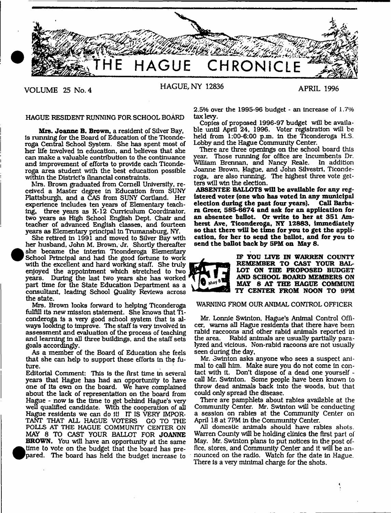

<sup>•</sup>

HAGUE RESIDENT RUNNING FOR SCHOOL BOARD

**Mrs. Joanne B. Brown,** a resident of Silver Bay, Is running for the Board of Education of the Ticonderoga Central School System. She has spent most of her life involved in education, and believes that she can make a valuable contribution to the continuance and improvement of efforts to provide each Ticonderoga area student with the best education possible within the District's financial constraints.

Mrs. Brown graduated from Cornell University, received a Master degree In Education from SUNY Plattsburgh, and a CAS from SUNY Cortland. Her experience includes ten years of Elementary teaching, three years as K-12 Curriculum Coordinator, two years as High School English Dept. Chair and teacher of advanced English classes, and fourteen years as Elementary principal In Trumansburg, NY.

She retired in 1991 and moved to Silver Bay with her husband, John M. Brown, Jr. Shortly thereafter she became the interim Ticonderoga Elementary School Principal and had the good fortune to work with the excellent and hard working staff. She truly enjoyed the appointment which stretched to two years. During the last two years she has worked part time for the State Education Department as a consultant, leading School Qualify Reviews across the state.

Mrs. Brown looks forward to helping Ticonderoga fulfill its new mission statement. She knows that Ticonderoga is a very good school system that is always looking to improve. The staff is very involved in assessment and evaluation of the process of teaching and learning in all three buildings, and the staff sets goals accordingly.

As a member of the Board of Education she feels that she can help to support these efforts in the future.

Editorial Comment; This is the first time in several years that Hague has had an opportunity to have one of its own on the board. We have complained about the lack of representation on the board from Hague - now is the time to get behind Hague's very well qualified candidate. With the cooperation of all Hague residents we can do it! IT IS VERY IMPOR-TANT THAT ALL HAGUE VOTERS GO TO THE POLLS AT THE HAGUE COMMUNITY CENTER ON MAY 8 TO CAST YOUR BALLOT FOR **JOANNE BROWN.** You will have an opportunity at the same **•** time to vote on the budget that the board has prepared. The board has held the budget increase to

2.5% over the 1995-96 budget - an increase of 1.7% tax levy.

Copies of proposed 1996-97 budget will be available until April 24, 1996. Voter registration will be held from 1:00-6:00 p.m. in the Ticonderoga H.S. Lobby and the Hague Community Center.

There are three openings on the school board this year. Those running for office are Incumbents Dr. William Brennan, and Nancy Reale. In addition Joanne Brown, Hague, and John Silvestri, Ticonderoga, are also running. The highest three vote getters will win the election.

**ABSENTEE BALLOTS will be available for any registered voter (one who has voted in any municipal** election during the past four years). **ra Greer, 585-6674 and ask for an application for an absentee ballot. Or write to her at 351 Amherst Ave, Ticonderoga, NY 12883, immediately so that there will be tune for you to get the application, for her to send the ballot, and for you** to **send the ballot back by 5PM on May 8.**



**IF YOU LIVE IN WARREN COUNTY REMEMBER TO CAST YOUR BAL-LOT ON THE PROPOSED BUDGET AND SCHOOL BOARD MEMBERS ON MAY 8 AT THE HAGUE COMMUNI TY CENTER FROM NOON TO 9PM**

## WARNING FROM OUR ANIMAL CONTROL OFFICER

Mr. Lonnie Swinton, Hague's Animal Control Officer, warns all Hague residents that there have been rabid raccoons and other rabid animals reported in the area. Rabid animals are usually partially paralyzed and vicious. Non-rabid racoons are not usually seen during the day,

Mr. Swinton asks anyone who sees a suspect animal to call him. Make sure you do not come in contact with it. Don't dispose of a dead one yourself call Mr. Swinton. Some people have been known to throw dead animals back into the woods, but that could only spread the disease.

There are pamphlets about rabies available at the Community Center. Mr. Swinton will be conducting a session on rabies at the Community Center on April 18 at 7PM in the Community Center.

All domestic animals should have rabies shots. Warren County will be holding clinics the first part of May. Mr. Swinton plans to put notices in the post office, stores, and Community Center and it will be announced on the radio. Watch for the date in Hague. There is a very minimal charge for the shots.

 $\ddot{\phantom{0}}$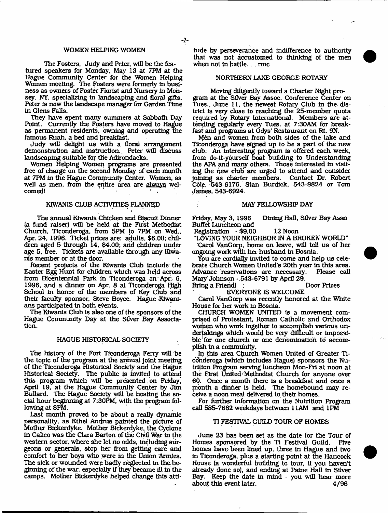#### WOMEN HELPING WOMEN

The Fosters, Judy and Peter, will be the featured speakers for Monday, May 13 at 7PM at the Hague Community Center for the Women Helping Women meeting. The Fosters were formerly In business as owners of Foster Florist and Nursery in Mohsey, NY, specializing in landscaping and floral gifts. Peter is now the landscape manager for Garden Time in Glens Falls.

They have spent many summers at Sabbath pay Point. Currently the Fosters have moved to Hague as permanent residents, owning and operating the famous Ruah, a bed and breakfast.

Judy will delight us with a floral arrangement demonstration and instruction., Peter will discuss landscaping suitable for the Adirondacks.

Women Helping Women programs are presented free of charge on the second Monday of each month at 7PM in the Hague Community Center. Women, as well as men, from the entire area are always welcomed!

#### KIWANIS CLUB ACTIVITIES PLANNED

The annual Kiwanis Chicken and Biscuit Dinner (a fund raiser) will be held at the First Methodist Church, Ticonderoga, from 5PM to 7PM on Wed., Apr. 24, 1996. Ticket prices are: adults, \$6.00: children aged 5 through 14, \$4.00; and children under age 5, free. Tickets are available through any Kiwanis member or at the door.

Recent projects of the Kiwanis Club include the Easter Egg Hunt for children which was held across from Bicentennial Park in Ticonderoga on Apr.. 6, 1996, and a dinner on Apr. 8 at Ticonderoga High School in honor of the members of Key Club and their faculty sponsor, Steve Boyce. Hague Kiwanians participated in both events.

The Kiwanis Club is also one of the sponsors of the Hague Community Day at the Silver Bay Association.

## HAGUE HISTORICAL SOCIETY

The history of the Fort Ticonderoga Ferry will be the topic of the program at the annual Joint meeting of the Ticonderoga Historical Society and the Hague Historical Society. The public Is invited to attend this program which will be presented on Friday. April 19, at the Hague Community Center by Jim Bullard. The Hague Society will be hosting the social hour beginning at 7:30PM, with the program following at 8PM.

Last month proved to be about a really dynamic personality, as Ethel Andrus painted the picture of Mother Bickerdyke. Mother Bickerdyke, the Cyclone In Calico was the Clara Barton of the Civil War in the western sector, where she let no odds, including surgeons or generals, stop her from getting care and comfort to her boys who were in the Union Armies. The sick or wounded were badly neglected in the. beginning of the war, especially if they became ill in the camps. Mother Bickerdyke helped change this atti

tude by perseverance and indifference to authority that was not accustomed to thinking of the men when not in battle... me

## NORTHERN LAKE GEORGE ROTARY

Moving diligently toward a Charter Night program at the Silver Bay Assoc. Conference Center on Tues., June 11, the newest Rotary Club in the district is very close to reaching the 25-member quota required by Rotary International. Members are attending regularly every Tues. at 7:30AM for breakfast and programs at Odys' Restaurant on Rt. 9N.

Men and women from both sides of the lake and Ticonderoga have signed up to be a part of the new club. An Interesting program is offered each week, from do-it-yourself boat building to Understanding the APA and many others. Those interested in visiting the hew club are urged to attend and consider Joining as charter members. Contact Dr. Robert Cdle, 543-6176, Stan Burdick, 543-8824 or Tom James, 543-6924.

#### MAY FELLOWSHIP DAY

Friday, May 3, 1996 Dining Hall, Silver Bay Assn Buffet Luncheon and

Registration - \$9.00 12 Noon

"LOVING YOUR NEIGHBOR IN A BROKEN WORLD" Carol VanGorp, home on leave, will tell us of her ongoing work with her husband in Bosnia.

You are cordially invited to come and help us celebrate Church Women United's 20th year in this area. Advance reservations are necessary. Mary Johnson - 543-6791 by April 29.<br>Bring a Friendi

Bring a Friend!

EVERYONE IS WELCOME

Carol VanGorp was recently honored at the White House for her work in Bosnia.

CHURCH WOMEN UNITED is a movement comprised of Protestant, Roman Catholic and Orthodox women who work together to accomplish various undertakings which would be very difficult or impossible for one church or one denomination to accomplish in a community.

In this area Church Women United of Greater Ticonderoga (which includes Hague) sponsors the Nutrition Program serving luncheon Mon-Fri at noon at the First United Methodist Church for anyone over 60. Once a month there is a breakfast and once a month a dinner is held. The homebound may receive a noon meal delivered to their homes.

For further Information on the Nutrition Program call 585-7682 weekdays between 11AM and 1PM

#### TI FESTIVAL GUILD TOUR OF HOMES

June 23 has been set as the date for the Tour of Homes sponsored by the Ti Festival Guild. Five homes have been lined up. three in Hague and two in Ticonderoga, plus a starting point at the Hancock House (a wonderful building to tour, if you haven't already done so), and ending at Paine Hall in Silver Bay. Keep the date in mind - you will hear more about this event later. 4/96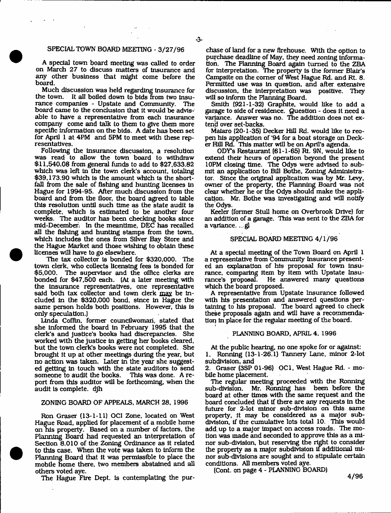## SPECIAL TOWN BOARD MEETING - 3/27/96

A special town board meeting was called to order on March 27 to discuss matters of insurance and any other business that might come before the board.

Much discussion was held regarding insurance for the town. It all boiled down to bids from two Insurance companies - Upstate and Community. The board came to the conclusion that it would be advisable to have a representative from each Insurance company come and talk to them to give them more specific information on the bids. A date has been set for April 1 at 4PM and 5PM to meet with these representatives.

Following the insurance discussion, a resolution was read to allow the town board to withdraw \$11,540.08 from general funds to add to \$27,633.82 which was left in the town clerk's account, totaling \$39,173.90 which is the amount which is the shortfall from the sale of fishing and hunting licenses in Hague for 1994-95. After much discussion from the board and from the floor, the board agreed to table this resolution until such time as the state audit Is complete, which is estimated to be another four weeks. The auditor has been checking books since mid-December; In the meantime, DEC has recalled all the fishing and hunting stamps from the town, which includes the ones from Silver Bay Store and the Hague Market and those wishing to obtain these licenses will have to go elsewhere.

The tax collector is bonded for \$320,000. The town clerk, who collects licensing fees is bonded for \$5,000. The supervisor and the office clerks are bonded for \$47,500 each. (At a later meeting with the insurance representatives, one representative said both tax collector and town clerk may be included In the \$320,000 bond, since In Hague the same person holds both positions. However, this is only speculation.)

Linda Coffin, former councllwoman, stated that she informed the board In February 1995 that the clerk's and justice's books had discrepancies. She worked with the justice in getting her books cleared, but the town clerk's books were not completed. She brought it up at other meetings during the year, but no action was taken. Later In the year she suggested getting In touch with the state auditors to send someone to audit the books. This was done. A report from this auditor will be forthcoming, when the audit is complete, djh

#### ZONING BOARD OF APPEALS, MARCH 28, 1996

Ron Graser (13-1-11) OCI Zone, located on West Hague Road, applied for placement of a mobile home on his property. Based on a number of factors, the Planning Board had requested an interpretation of Section 8.010 of the Zoning Ordinance as It related to this case. When the vote was taken to inform the Planning Board that it was permissible to place the mobile home there, two members abstained and all others voted aye.

The Hague Fire Dept, is contemplating the pur-

chase of land for a new flrehouse. With the option to purchase deadline of May, they need zoning information. The Planning Board again turned to the ZBA for interpretation. The property is the former Blair's Campsite on the comer of West Hague Rd. and Rt. 8. Permitted use was in question, and after extensive discussion, the interpretation was positive. They will so Inform the Planning Board.

Smith (921-1-32) Graphite, would like to add a garage to side of residence. Question - does it need a variance. Answer was no. The addition does not extend over set-backs.

Malaro (20-1-35) Decker Hill Rd. would like to reopen his application of '94 for a boat storage on Decker Hill Rd. This matter will be on April's agenda.

ODY\*s Restaurant (61-1-65) Rt. 9N, would like to extend their hours of operation beyond the present 10PM closing time. The Odys were advised to submit an application to Bill Bothe, Zoning Administrator. Since the original application was by Mr. Levy, owner of the property, the Planning Board was not clear whether he or the Odys should make the application. Mr. Bothe was investigating and will notify the Odys.

Keeler (former Stull home on Overbrook Drive) for an addition of a garage. This was sent to the ZBA for a variance., . gl

#### SPECIAL BOARD MEETING 4/1/96

At a special meeting of the Town Board on April 1 a representative from Community Insurance presented an explanation of his proposal for town insurance, comparing item by Item with Upstate Insurance's proposal. He answered many questions which the board proposed.

A representative from Upstate Insurance followed with his presentation and answered questions pertaining to his proposal. The board agreed to check these proposals again and will have a recommendation in place for the regular meeting of the board.

## PLANNING BOARD, APRIL 4, 1996

At the public hearing, no one spoke for or against: 1. Ronning (13-1-26.1) Tannery Lane, minor 2-lot subdivision, and

2, Graser (3SP 01-96) OCI, West Hague Rd. - mobile home placement.

The regular meeting proceeded with the Ronning sub-division. Mr. Ronning has been before the board at other times with the same request and the board concluded that If there are any requests in the future for 2-lot minor sub-division on this same property, It may be considered as a major subdivision, if the cumulative lots total 10. This would add. up to a major impact on access roads. The motion was made and seconded to approve this as a minor sub-division, but reserving the right to consider the property as a major subdivision if additional minor sub-divisions are sought and to stipulate certain conditions. All members voted aye.

(Cont. on page 4 - PLANNING BOARD)

4/96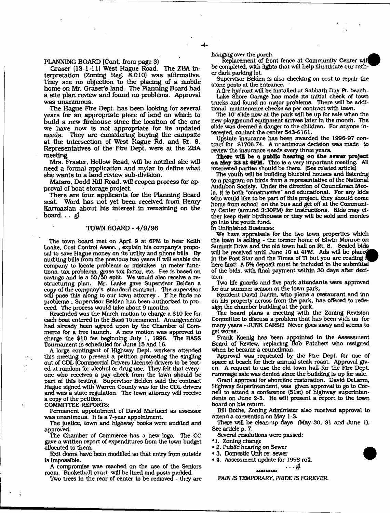PLANNING BOARD (Cont. from page 3)

Graser (13-1-11) West Hague Road. The ZBA Interpretation (Zoning Reg. 8.010) was affirmative. They see no objection to the placing of a mobile home on Mr. Graser's land. The Planning Board had a site plan review and found no problems. Approval was unanimous.

The Hague Fire Dept, has been looking for several years for an appropriate piece of land on which to build a new ftrehouse since the location of the one we have now is not appropriate for its updated needs. They are considering buying the campsite They are considering buying the campsite at the intersection of West Hague Rd. and Rt. 8. Representatives of the Fire Dept, were at the ZBA meeting

Mrs. Frasier. Hollow Road, will be notified she will need a formal application and mylar to define what she wants in a land review sub-division.

Maiaro, Dodd Hill Road, will reopen process for approval of boat storage project.

There are four applicants for the Planning Board seat. Word has not yet been received from Henry Karmazian about his interest in remaining on the board. . . gl

## TOWN BOARD - 4/9/96

The town board met on April 9 at 6PM to hear Keith Laake. Cost Control Assoc. , explain his company's proposal to save Hague money on its utility and phone bills. By auditing bills from the previous two years it will enable the company to locate problems or mistakes in meter functions, tax problems, gross tax factor, etc. Fee is based on savings and Is a 50/50 split. We would also receive a restructuring plan. Mr. Laake gave Supervisor Belden a copy of the company's standard contract The supervisor will pass this along to our town attorney. If he finds no problems , Supervisor Belden has been authorized to proceed. The process would take about 9 months.

Rescinded was the March motion to charge a \$ 10 fee for each boat entered in the Bass Tournament. Arrangements had already been agreed upon by the Chamber of Commerce for a free launch. A new motion was approved to charge the \$10 fee beginning July 1, 1996. The BASS charge the \$10 fee beginning July 1, 1996. Tournament Is scheduled for June 15 and 16.

A large contingent of Highway Dept. workers attended this meeting to present a petition protesting the singling out of CDL (Commercial Drivers License) drivers to be tested at random for alcohol or drug use. They felt that everyone who receives a pay check from the town should be part of this testing Supervisor Belden said the contract Hague signed with Warren County was for the CDL drivers and was a state regulation. The town attorney will receive a copy of the petition.

COMMITTEE REPORTS:

Permanent appointment of David Martucci as assessor was unanimous. It is a 7-year appointment

The Justice, town and highway books were audited and approved.

The Chamber of Commerce has a new logo. The CC gave a written report of expenditures from the town budget allocated to them.

Exit doors have been modified so that entry from outside is Impossible.

A compromise was reached on the use of the Seniors room. Basketball court will be lined and posts padded

Two trees in the rear of center to be removed - they are

hanging over the porch.

4-

Replacement of front fence at Community Center will be completed, with lights that will help illuminate our rather dark parking lot

Supervisor Belden Is also checking on cost to repair the stone posts at the entrance.

A fire hydrant will be installed at Sabbath Day Pt. beach.

Lake Shore Garage has made Its initial check of town trucks and found no major problems. There will be additional maintenance checks as per contract with town.

The 10<sup>\*</sup> slide now at the park will be up for sale when the new playground equipment arrives later in the month. The slide was deemed a danger to the children. For anyone Interested, contact the center 543-6161.

Upstate Insurance has been awarded the 1996-97 contract for \$1706.74. A unanimous decision was made to review the insurance needs every three years.

There will be a public hearing on the sewer project on May 23 at 6PM. This is a very important meeting. All interested parties should be there. (See related article)

The youth will be building bluebird houses and listening to a program on birds from a representative of the National Audubon Society. Under the direction of Councilman Meola. It is both "constructive" and educational. For any kids who would like to be part of this project, they should come home from school on the bus and get off at the Community Center (around 3:30PM) for instructions. Kids may either keep their birdhouses or they will be sold and monies go into the youth fund.

In Unfinished Business:

We have appraisals for the two town properties which the town is selling - the former home of Elwin Monroe on Summit Drive and the old town hall on Rt. 8. Sealed bids will be received until June 10 at 4PM. Ads will be place In the Post Star and the Times of TI but you are reading here first! A 5% deposit must be included in the submittal of the bids, with final payment within 30 days after decision.

TWo life guards and five park attendants were approved for our summer season at the town park.

Resident David Darrin, who plans a restaurant and inn on his property across from the park, has offered to redesign the chamber building at the park.

The board plans a meeting with the Zoning Revision Corpmlttee to discuss a problem that has been with us for many years - JUNK CARS!!! Never goes away and seems to get worse.

Frank Koenig has been appointed to the Assessment Board of Review, replacing Bcb Patchett who resigned when he became a councilman.

Approval was requested by the Fire Dept, for use of space at beach for their annual steak roast. Approval given. A request to use the old town hall for the Fire DepL rummage sale was denied since the building is up for sale.

Grant approval for shoreline restoration. David DeLarm, Highway Superintendent, was given approval to go to Cornell to attend a conference (51st) of highway superintendents on June 2-5. He will present a report to the town board on his return.

Bill Bothe, Zoning Administer also received approval to attend a convention on May 1-3.

There will be clean-up days (May 30, 31 and June 1). See article p. 7.

*&*

Several resolutions were passed:

- \*1. Zoning change
- 2. Public hearing on Sewer
- 3. Domestic Unit re: sewer
- 4. Assessment update for 1998 roll.

#### \*\*\*\*\*\*\*\*\*

*PAIN IS TEMPORARY. PRIDE IS FOREVER.*



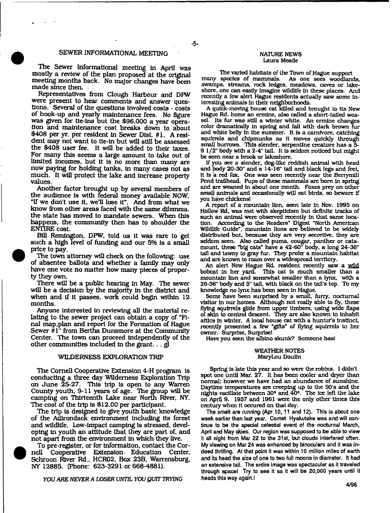#### SEWER INFORMATIONAL MEETING

The Sewer Informational meeting In April was mostly a review of the plan proposed at the original meeting months back. No major changes have been made since then.

Representatives from Clough Harbour and DPW were present to hear comments and answer questions. Several of the questions Involved costs - costs of hook-up and yearly maintenance fees. No figure was given for tie-ins but the \$96,000 a year operation and maintenance cost breaks down to. about \$408 per yr. per resident in Sewer Dlst. #1. A resident may not want to tie-in but will still be assessed the \$408 user fee. It will be added to their taxes. For many this seems a large amount to take out of limited Incomes, but it Is no more than many are now paying for holding tanks, in many cases not as much. It will protect the lake and increase property values.

Another factor brought up by several members of the audience is with federal money available NOW, "If we don't use it, well lose it". And from what we know from other areas faced with the same dilemma, the state has moved to mandate sewers. When this happens, the community then has to shoulder the ENTIRE cost.

BUI Remington. DPW, told us it was rare to get such a high level of funding and our 5% Is a small price to pay.

The town attorney will check on the following: use of absentee ballots and whether a family may only have one vote no matter how many pieces of property they own.

There will be a public hearing In May. The sewer will be a decision by the majority in the district and when and if it passes, work could begin within 12 months.

Anyone interested in reviewing all the material relating to the sewer project can obtain a copy of "Final map .plan and report for the Formation of Hague Sewer #1" from Bertha Dunsmore at the Community Center. The town can proceed independently of the other communities included in the grant.  $\ldots$  gl

#### WILDERNESS EXPLORATION TRIP

The Cornell Cooperative Extension 4-H program is conducting a three day Wilderness Exploration Trip on June 25-27. This trip Is open to any Warren County youth, 9-11 years of age. The group will be camping on Thirteenth Lake near North River, NY. The cost of the trip is \$12.00 per participant.

The trip is designed to give youth basic knowledge of the Adirondack environment including Its forest and wildlife. Low-impact camping is stressed, developing in youth an attitude that they are part of, and not apart from the environment in which they live.

To pre-register, or for information, contact the Cornell Cooperative Extension Education Center, Schroon River Rd., HCR02, Box 23B, Warrensburg, NY 12885. (Phone: 623-3291 or 668-4881).

YOU ARE NEVER A LOSER UNTIL YOU QUIT TRYING

#### NATURE NEWS Laura Meade

The varied habitats of the Town of Hague support many species of mammals. As one sees woodlands, swamps, streams, rock ledges, meadows, caves or lakeshore. one can easily Imagine wildlife In these places. And recently a few alert Hague residents actually saw some Interesting animals in their neighborhoods.

A quick-moving house cat killed and brought to its New Hague Rd. home an ermine, also called a short-tailed weasel. Its fur was still a winter white. An ermine changes color dramatically in spring and fall with dark brown fur and white belly In the summer. It is a carnivore, catching squirrels and chipmunks as it moves quickly through small burrows. This slender, serpentine creature has a 5- 9 1/2" body with a 2-4" tail. It Is seldom noticed but might be seen near a brook or lakeshore.

If you see a slender, dog-like reddish animal with head and body 20-30" and a 14-16" tail and black legs and feet, it Is a red fox. One was seen recently near the Benymlll Pond trallhead. Pups of these mammals arc bom In spring and are weaned in about one month. Foxes prey on other small animals and occasionally will eat birds, so beware if you have chickens!

A report of a mountain lion, seen late In Nov. 1995 on Hollow Rd, was met with skepticism but definite tracks of such an animal were observed recently In that same location. According to the Readers" Digest "North American Wildlife Guide", mountain lions are believed to be widely distributed but. because they are very secretive, they are seldom seen. Also called puma, cougar, panther or catamount, these "big cats" have a 42-60" body, a long 24-36" tall and tawny to gray fur. They prefer a mountain habitat and are known to roam over a widespread territory.

An alert New Hague Rd. resident recently saw a wild bobcat in her yard. This cat is much smaller than a mountain lion and somewhat smaller than a lynx, with a 26-36" body and 5" tail, with black on the tail's top. To my knowledge no lynx has been seen in Hague.

Some have been surprised by a small, furry, nocturnal visitor In our homes. Although not really able to fly, these flying squirrels glide from upper timbers, using wide flaps of skin to control descent. They are also known to inhabit attics In winter. A local house cat with a hunter's Instinct, recently presented a few 'gifts" of flying squirrels to her owner. Surprise. Surprise!

Have you seen the albino skunk? Someone hast

#### WEATHER NOTES Mary Lou Douiln

Spring Is late this year and so were the robins. 1 didn't spot one until Mar. 27. It has been cooler and dryer than normal: however we have had an abundance of sunshine. Daytime temperatures are creeping up to the 50's and the nights vacillate between 30\* and 40\*. The ice left the lake on April 9. 1957 and 1961 were the only other times this century when It occured on that day.

**The smelt are running (Apr 10,11 and 12). This is about one week earlier than last year. Comet Hyakutake was and will continue to be the special celestial event of the nocturnal March, April and May skies. Our region was supposed to be able to view it all night from Mar 22 to the 31st, but clouds interfered often. My viewing on Mar 24 was enhanced by binoculars and it was indeed thrilling. At that point it was within 10 million mites of earth and its head the size of one to two full moons in diameter. It had an extensive tail. The entire image was spectacular as it traveled through spacel Try to see it as it will be 20,000 years until it heads this way again.i**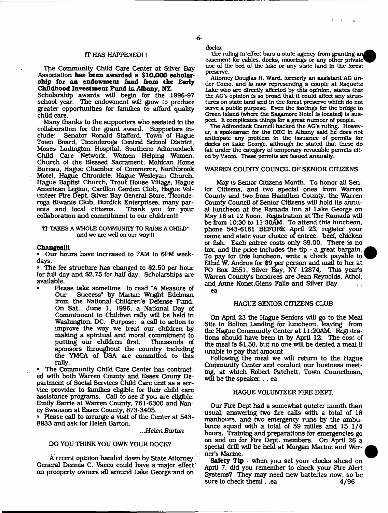The Community Child Care Center at Silver Bay Association **has been awarded a \$10,000 scholar' ship for an endowment fond from the Early Childhood Investment Pond in Albany, NT.**

Scholarship awards will begin for the 1996-97 school year. The endowment will grow to produce greater opportunities for families to afford quality child care.

Many thanks to the supporters who assisted In the collaboration for the grant award. Supporters in-<br>clude: Senator Ronald Stafford, Town of Hague Senator Ronald Stafford, Town of Hague Town Board, Ticonderoga Central School District, Moses Ludlngton Hospital, Southern Adiorondack Child Care Network, Women Helping Women, Church of the Blessed Sacrament, Mohican Home Bureau, Hague Chamber of Commerce, Northbrook Motel, Hague Chronicle, Hague Wesleyan Church, Hague Baptist Church, Trout House Village, Hague American Legion, Carillon Garden Club, Hague Volunteer Fire Dept, Silver Bay General Store, Ticonderoga Kiwanis Club, Burdick Enterprises, many par-Thank you for your collaboration and commitment to our children!!!

#### 'IT TAKES A WHOLE COMMUNITY TO RAISE A CHILD" and we are well on our waylll

#### Changesill

• Our hours have increased to 7AM to 6PM weekdays.

• The fee structure has changed to \$2.50 per hour for full day and \$2.75 for half day. Scholarships are available.

• Please take sometime to read "A Measure of Success" by Marian Wright Edelman from the National Children's Defense Fund. On Sat., June 1, 1996, a National Day of Commitment to Children rally will be held In Washington, DC. Purpose: a call to action to Improve the way we treat our children by making a spiritual and moral commitment to<br>putting our children first. Thousands of putting our children first. sponsors throughout the country including the YMCA of USA are committed to this rally.

• The Community Child Care Center has contracted with both Warren County and Essex Couny Department of Social Services Child Care unit as a service provider to families eligible for their child care assistance programs. Call to see if you are eligible: Emily Barrie at Warren County, 761-6300 and Nancy Swanson at Essex County, 873-3405.

• Please call to arrange a visit of the Center at 543- 8833 and ask for Helen Barton.

...Helen Barton

## DO YOU THINK YOU OWN YOUR DOCK?

A recent opinion handed down by State Attorney General Dennis C. Vacco could have a major effect on prooperty owners all around Lake George and on

docks.

The ruling in effect bars a state agency from granting an easement for cables, docks, moorings or any other private use of the bed of the lake or any state land in the forest preserve.

Attorney Douglas H. Ward, formerly an assistant AG under Como, and Is now representing a couple at Raquette Lake who are directly affected by this opinion, states that the AG's opinion is so broad that It could affect any structures on state land and In the forest preserve which do not serve a public purpose. Even the footings for the bridge to Green Island (where the Sagamore Hotel Is located) Is suspect It complicates things for a great number of people.

The Adirondack Council backed the AG's ruling. However, a spokesman for the DEC In Albany said he does not anticipate any problem In the Issuance of permits for docks on Lake George, although he stated that these do fall under the category of temporary revocable permits cited by Vacco. These permits are Issued annually.

#### WARREN COUNTY COUNCIL OF SENIOR CITIZENS

May is Senior Citizens Month. To honor all Senior Citizens, and two special ones from Warren County and two from Hamilton County, the Warren County Council of Senior Citizens will hold Its annual luncheon at the Ramada Inn at Lake George on May 16 at 12 Noon. Registration at The Ramada will be from 10:30 to 11:30AM. To attend this luncheon, phone 543-6161 BEFORE April 23, register your name and state your choice of entree: beef, chicken or fish. Each entree costs only \$9.00. There is no tax, and the price includes the tip - a great bargain. To pay for this luncheon, write a check payable to' Ethel W, Andrus for \$9 per person and mail to her at PO Box 2551, Silver Bay, NY 12874. This year's Warren County's honorees are Jean Reynolds, Athol, and Anne Konet,Glens Falls and Silver Bay . ea

## HAGUE SENIOR CITIZENS CLUB

On April 23 the Hague Seniors will go to the Meal Site in Bolton Landing for luncheon, leaving from the Hague Community Center at 11:2QAM. Registrations should have been in by April 12. The cost of the meal is \$1.50, but no one will be denied a meal if unable to pay that amount.

Following the meal we will return to the Hague Community Center and conduct our business meeting, at which Robert Patchett, Town Councilman, will be the speaker. . . ea

#### HAGUE VOLUNTEER FIRE DEFT.

Our Fire Dept had a somewhat quieter month than usual, answering two fire calls with a total of 18 manhours, and two emergency runs by the ambulance squad with a total of 59 miiles and 15 1/4 hours. Training and preparations for emergencies go on and on for Fire Dept, members. On April 26 a special drill will be held at Morgan Marine and Werner's Marine.

**Safety Tip** - when you set your clocks ahead on April 7, did you remember to check your Fire Alert Systems? They may need new batteries now, so be sure to check them! . .ea 4/96 sure to check them! . .ea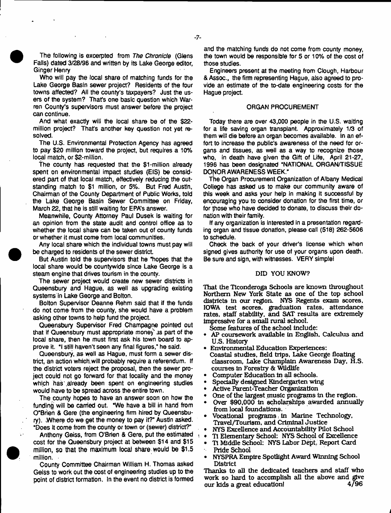The following is excerpted from *The Chronicle* (Glens Falls) dated 3/28/96 and written by its Lake George editor, Ginger Henry

Who will pay *the* local share of matching funds for the Lake George Basin sewer project? Residents of the four towns affected? All the county's taxpayers? Just the users of the system? That's one basic question which Warren County's supervisors must answer before the project can continue.

And what exactly will the local share be of the \$22 million project? That's another key question not yet resolved.

The U.S. Environmental Protection Agency has agreed to pay \$20 million toward the project, but requires a 10% local match, or \$2-million.

the county has requested that the \$1-million already spent on environmental impact studies (EIS) be considered part of that local match, effectively reducing the outstanding match to \$1 million, or 5%. But Fred Austin, Chairman of the County Department of Public Works, told the Lake George Basin Sewer Committee on Friday, March 22, that he is still waiting for EPA's answer.

Meanwhile, County Attorney Paul Dusek Is waiting for an opinion from the state audit and control office as to whether the local share can be taken out of county funds or whether it must come from local communities.

Any local share which the individual towns must pay will be charged to residents of the sewer district

But Austin told the supervisors that he "hopes that the local share would be countywide since Lake George is a steam engine that drives tourism in the county.

The sewer project would create new sewer districts in Queensbury and Hague, as well as upgrading existing systems in Lake George and Bolton.

Bolton Supervisor Deanne Rehm said that if the funds do not come from the county, she would have a problem asking other towns to help fund the project.

Queensbury Supervisor Fred Champagne pointed out that if Queensbury must appropriate money' is part of the local share, then he must first ask his town board to approve it. "I still haven't seen any final figures," he said.

Queensbury, as wefl as Hague, must form a sewer district, an action which will probably require a referendum. If the district voters reject the proposal, then the sewer project could not go forward for that locality and the money which has already been spent on engineering studies would have to be spread across the entire town.

The county hopes to have an answer soon on how the funding will be carried out. "We have a bill in hand from O"Brien & Gere (the engineering firm hired by Queensbury). .Where do we get the money to pay it?" Austin asked. "Does it come from the county or town or (sewer) district?"

Anthony Geiss, from O'Brien & Gere, put the estimated cost for the Queensbury project at between \$14 and \$15 million, so that the maximum local share, would be \$1.5 million.

County Committee Chairman William H. Thomas asked Gelss to work out the cost of engineering studies up to the point of district formation. In the event no district is formed and the matching funds do not come from county money, the town would be responsible for 5 or 10% of the cost of those studies.

Engineers present at the meeting from Clough, Harbour & Assoc., the firm representing Hague, also agreed to provide an estimate of the to-date engineering costs for the Hague project.

## ORGAN PROCUREMENT

Today there are over 43,000 people in the U.S. waiting for a life saving organ transplant. Approximately 1/3 of them will die before an organ becomes available. In an effort to increase the public's awareness of the need for organs and tissues, as well as a way to recognize those who, in death have given the Gift of Life, April 21-27, 1996 has been designated "NATIONAL ORGAN/TISSUE DONOR AWARENESS WEEK."

The Organ Procurement Organization of Albany Medical College has asked us to make our community aware of this week and asks your help in making it successful by encouraging you to consider donation for the first time, or for {hose who have decided to donate, to discuss their donation with their family.

If any organization is Interested in a presentation regarding organ and tissue donation, please call (518) 262-5606 to schedule.

Check the back of your driver's license which when signed gives authority for use of your organs upon death. Be sure and sign, with witnesses. VERY simple!

#### DID YOU KNOW?

That the Ticonderoga Schools are known throughout Northern New York State as one of the top school districts in our region. NYS Regents exam scores, IOWA test scores, graduation rates, attendance rates, staff stability, and SAT results are extremely Impressive for a small rural school.

Some features of the school Include:

- AP coursework available In English. Calculus and U.S. History
- Environmental Education Experiences: Coastal studies, field trips, Lake George floating classroom, Lake Champlain Awareness Day, H.S. courses in Forestry & Wildlife
- Computer Education in all schools.
- Specially designed Kindergarten wing
- Active Parent-Teacher Organization
- One of the largest music programs in the region,
- Over \$90,000 In scholarships awarded annually from local foundations.
- Vocational programs, In Marine Technology, Travel/Tourism, and Criminal Justice
- NYS Excellence and Accountability Pilot School
- TI Elementary School: NYS School of Excellence
- Tt Middle School: NYS Labor Dept, Report Card Pride School
- NYSPRA Empire Spotlight Award Winning School District

Thanks to all the dedicated teachers and staff who work so hard to accomplish all the above and give<br>our kids a great education! 4/96 our kids a great education! 4/96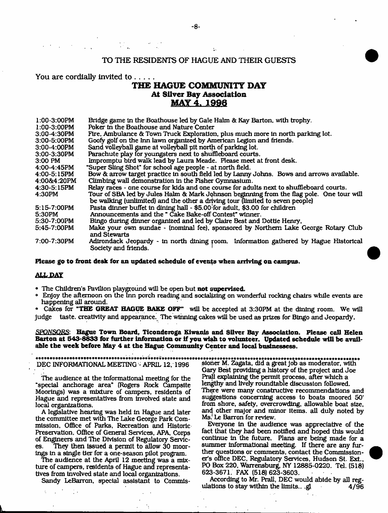## TO THE RESIDENTS OF HAGUE AND THEIR GUESTS

 $\mathbf{t}$ .

## **You are cordially invited to .....**

# **THE HAGUE COMMUNITY DAY** At Silver Bay Association **MAY 4. 1998**

| $1:00-3:00PM$ | Bridge game in the Boathouse led by Gale Halm & Kay Barton, with trophy.                                     |
|---------------|--------------------------------------------------------------------------------------------------------------|
| $1:00-3:00PM$ | Poker in the Boathouse and Nature Center                                                                     |
| 3.00-4.30PM   | Fire, Ambulance & Town Truck Exploration, plus much more in north parking lot.                               |
| 3:00-5:00PM   | Goofy golf on the Inn lawn organized by American Legion and friends.                                         |
| 3:00-4:00PM   | Sand volleyball game at volleyball pit north of parking lot.                                                 |
| 3:00-3:30PM   | Parachute play for youngsters next to shuffleboard courts.                                                   |
| 3:00 PM       | Impromptu bird walk lead by Laura Meade. Please meet at front desk.                                          |
| $4:00-4:45PM$ | "Super Sling Shot" for school age people - at north field.                                                   |
| 4:00-5:15PM   | Bow & arrow target practice in south field led by Lanny Johns. Bows and arrows available.                    |
| 4:00&4:20PM   | Climbing wall demonstration in the Fisher Gymnasium.                                                         |
| 4.30-5.15PM   | Relay races - one course for kids and one course for adults next to shuffleboard courts.                     |
| 4:30PM        | Tour of SBA led by Jules Halm & Mark Johnson beginning from the flag pole. One tour will                     |
|               | be walking (unlimited) and the other a driving tour (limited to seven people)                                |
| 5:15-7:00PM   | Pasta dinner buffet in dining hall - \$5.00 for adult, \$3.00 for children                                   |
| 5:30PM        | Announcements and the "Cake Bake-off Contest" winner.                                                        |
| 5:30-7:00PM   | Bingo during dinner organized and led by Claire Best and Dottie Henry,                                       |
| 5.45-7:00PM   | Make your own sundae - (nominal fee), sponsored by Northern Lake George Rotary Club<br>and Stewarts          |
| 7:00-7:30PM   | Adtrondack Jeopardy - in north dining room. Information gathered by Hague Historical<br>Society and friends. |

## **Please go to front desk for an updated schedule of events when arriving on campus.**

## **ALL DAY**

- \* The Children's Pavilion playground will be open but **not supervised.**
- ® Enjoy the afternoon on the Inn porch reading and socializing on wonderful rocking chairs while events are happening all around.

° Cakes for **"THE GREAT HAGUE BAKE OFF"** will be accepted at 3:30PM at the dining room. We will judge taste, creativity and appearance. The winning cakes will be used as prizes for Bingo and Jeopardy,

## *SPONSORS:* **Hague Town Board, Ticonderoga Kiwanis and Silver Bay Association. Please call Helen** Barton at 543-8833 for further information or if you wish to volunteer. Updated schedule will be avail**able the week before May 4 at the Hague Community Center and local bnsinessess.**

#### DEC INFORMATIONAL MEETING - APRIL 12, 1996

The audience at the informational meeting for the "special anchorage area" (Rogers Rock Campsite Moorings) was a mixture of campers, residents of Hague and representatives from Involved state and local organizations.

A legislative hearing was held in Hague and later the committee met with The Lake George Park Commission, Office of Parks, Recreation and Historic Preservation, Office of General Services, APA, Corps of Engineers and The Division of Regulatory Services. They then Issued a permit to allow 30 moorings In a single tier for a one-season pilot program.

The audience at the April 12 meeting was a mixture of campers, residents of Hague and representatives from Involved state and local organizations.

Sandy LeBarron, special assistant to Commis-

٠.

sioner M. Zagata. did a great Job as moderator, with Gary Best providing a history of the project and Joe Prall explaining the permit process, after which a lengthy and lively roundtable discussion followed. There were many constructive recommendations and suggestions concerning access to boats moored 50' from shore, safety, overcrowding, allowable boat size, and other major and minor Items, all duly noted by Ms. Le Barron for review.

Everyone In the audience was appreciative of the fact that they had been notified and hoped this would continue in the future. Plans are being made for a summer informational meeting. If there are any further questions or comments, contact the Commissioner's office DEC. Regulatory Services, Hudson St. Ext., PO Box 220. Warrensburg, NY 12885-0220. Tel. (518) 623-3671. FAX (518)623-3603.

According to Mr. Prall, DEC would abide by all regulations to stay within the limits... $g$  4/96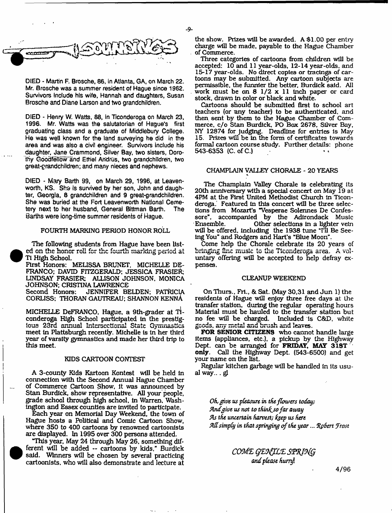-9-



DIED - Martin F. Brosche, 86, in Atlanta, GA, on March 22. Mr. Brosche was a summer resident of Hague since 1962. Survivors include his wife, Hannah and daughters, Susan Brosche and Diane Larson and two grandchildren.

DIED - Henry W. Watts, 88, in Ticonderoga on March 23, 1996. Mr. Watts was the salutatorian of Hague's first graduating class and a graduate of Middlebury College. He was well known for the land surveying he did in the area and was also a civil engineer. Survivors include his daughter, Jane Crammond, Silver Bay, two sisters, Dorothy Goodfellow'and Ethel Andrus,, two grandchildren, two great-grandchildren; and many nieces and nephews.

DIED - Mary Barth 99, on March 29, 1996, at Leavenworth, KS. She Is survived by her son, John and daughter, Georgia, 8 grandchildren and 9 great-grandchildren. She was buried at the Fort Leavenworth National Cemetery next to her husband, General Bittman Barth. The Barths were iong-time summer residents of Hague.

## FOURTH MARKING PERIOD HONOR ROLL

The following students from Hague have been listed on the honor roll for the fourth marking period at TI High School.

**•** 

i i

**•** 

First Honors: MEUSSA BRUNET, MICHELLE DE-FRANCO; DAVID FITZGERALD: JESSICA FRASIER; LINDSAY FRASIER: ALLISON JOHNSON. MONICA JOHNSON; CRISTINA LAWRENCE

JENNIFER BELDEN; PATRICIA CORLISS; THORAN GAUTREAU; SHANNON KENnA

MICHELLE DeFRANCO, Hague, a 9th-grader at Ticonderoga High School participated In the prestigious 23rd annual Intcrscctional State Gymnastics meet in Plattsburgh recently. Michelle is in her third year of varsity gymnastics and made her third trip to this meet.

## KIDS CARTOON CONTEST

A 3-county Kids Kartoon Kontest will be held In connection with the Second Annual Hague Chamber of Commerce Cartoon Show, It was announced by Stan Burdick, show representative. All your people, grade school through high school, In Warren. Washington and Essex counties are invited to participate.

Each year on Memorial Day Weekend, the town of Hague hosts a Political and Comic Cartoon Show, where 350 to 400 cartoons by renowned cartoonists are displayed. In 1995 over 300 persons attended.

"This year, May 24 through May 26, something dif ferent will be added -- cartoons by kids," Burdick said. Winners will be chosen by several practicing cartoonists, who will also demonstrate and lecture at the show. Prizes will be awarded. A \$1.00 per entry charge will be made, payable to the Hague Chamber of Commerce.

Three categories of cartoons from children will be accepted: 10 and 11 year-olds, 12-14 year-olds, and 15-17 year-olds. No direct copies or tracings of cartoons may be submitted. Any cartoon subjects are permissible, the funnier the better, Burdick said. All work must be on  $8 \frac{1}{2} \times 11$  inch paper or card stock, drawn In color or black and white.

Cartoons should be submitted first to school art teachers (or any teacher) to be authenticated, and then sent by them to the Hague Chamber of Commerce, c/o Stan Burdick, PO Box 2678, Silver Bay, NY 12874 for judging. Deadline for entries Is May 15, Prizes will be In the form of certificates towards formal cartoon course study. Further details: phone 543-6353 (C. of C.) 1

## CHAMPLAIN VALLEY CHORALE - 20 YEARS

The Champlain Valley Chorale Is celebrating its 20th anniversary with a special concert on May 19 at 4PM at the First United Methodist Church In Ticonderoga. Featured In this concert will be three selections from Mozart's "Vesperae Solennes De Confessore", accompanied by the Adirondack Music<br>Ensemble. Other selections in a lighter vein Other selections in a lighter vein will be offered, including the 1938 tune "I'll Be Seeing You" and Rodgers and Hart's "Blue Moon".

Come help the Chorale celebrate Its 20 years of bringing fine music to the Ticonderoga area. A voluntary offering will be accepted to help defray expenses.

#### CLEANUP WEEKEND

OnThurs., Frl., & Sat. (May 30,31 and Jun 1) the residents of Hague will enjoy three free days at the transfer station, during the regular operating hours Material must be hauled to the transfer station but<br>no fee will be charged. Included is C&D, white Included is C&D, white goods, any metal and brush and leaves.

**FOR SENIOR CITIZENS** who cannot handle large Items (appliances, etc.), a pickup by the Highway Dept, can be arranged for **FRIDAY, MAY 31ST** only. Call the Highway Dept. (543-6500) and get your name on the list.

Regular kitchen garbage will be handled In its usual way... gl

*Oh, give, us pleasure in die flowers today; find give us not to thin^sofar away S\s the uncertain harvest; faep us here simply in that springing of the year*... *fyhert frost*

> *c o m x g z H ju z s v R io fg and please humh*

> > 4/96